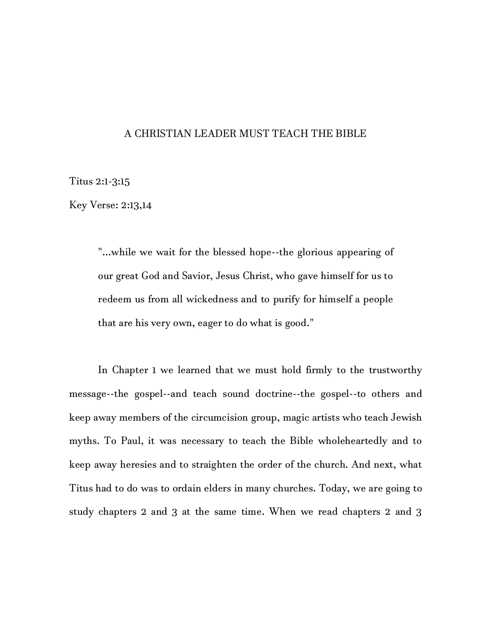## A CHRISTIAN LEADER MUST TEACH THE BIBLE

Titus 2:1-3:15

Key Verse: 2:13,14

"...while we wait for the blessed hope--the glorious appearing of our great God and Savior, Jesus Christ, who gave himself for us to redeem us from all wickedness and to purify for himself a people that are his very own, eager to do what is good."

In Chapter 1 we learned that we must hold firmly to the trustworthy message--the gospel--and teach sound doctrine--the gospel--to others and keep away members of the circumcision group, magic artists who teach Jewish myths. To Paul, it was necessary to teach the Bible wholeheartedly and to keep away heresies and to straighten the order of the church. And next, what Titus had to do was to ordain elders in many churches. Today, we are going to study chapters 2 and 3 at the same time. When we read chapters 2 and 3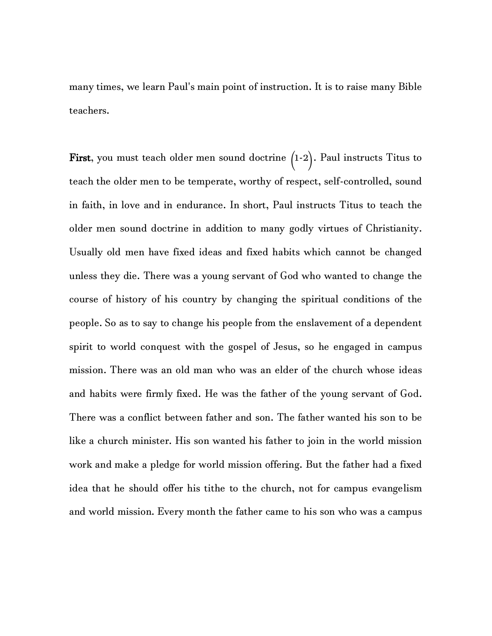many times, we learn Paul's main point of instruction. It is to raise many Bible teachers.

First, you must teach older men sound doctrine (1-2). Paul instructs Titus to teach the older men to be temperate, worthy of respect, self-controlled, sound in faith, in love and in endurance. In short, Paul instructs Titus to teach the older men sound doctrine in addition to many godly virtues of Christianity. Usually old men have fixed ideas and fixed habits which cannot be changed unless they die. There was a young servant of God who wanted to change the course of history of his country by changing the spiritual conditions of the people. So as to say to change his people from the enslavement of a dependent spirit to world conquest with the gospel of Jesus, so he engaged in campus mission. There was an old man who was an elder of the church whose ideas and habits were firmly fixed. He was the father of the young servant of God. There was a conflict between father and son. The father wanted his son to be like a church minister. His son wanted his father to join in the world mission work and make a pledge for world mission offering. But the father had a fixed idea that he should offer his tithe to the church, not for campus evangelism and world mission. Every month the father came to his son who was a campus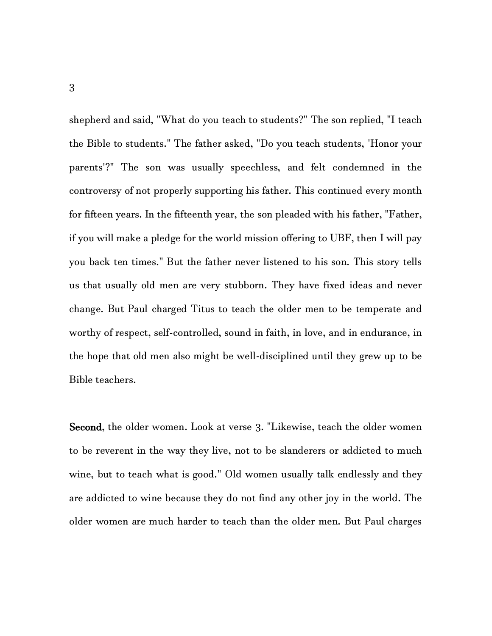shepherd and said, "What do you teach to students?" The son replied, "I teach the Bible to students." The father asked, "Do you teach students, 'Honor your parents'?" The son was usually speechless, and felt condemned in the controversy of not properly supporting his father. This continued every month for fifteen years. In the fifteenth year, the son pleaded with his father, "Father, if you will make a pledge for the world mission offering to UBF, then I will pay you back ten times." But the father never listened to his son. This story tells us that usually old men are very stubborn. They have fixed ideas and never change. But Paul charged Titus to teach the older men to be temperate and worthy of respect, self-controlled, sound in faith, in love, and in endurance, in the hope that old men also might be well-disciplined until they grew up to be Bible teachers.

Second, the older women. Look at verse 3. "Likewise, teach the older women to be reverent in the way they live, not to be slanderers or addicted to much wine, but to teach what is good." Old women usually talk endlessly and they are addicted to wine because they do not find any other joy in the world. The older women are much harder to teach than the older men. But Paul charges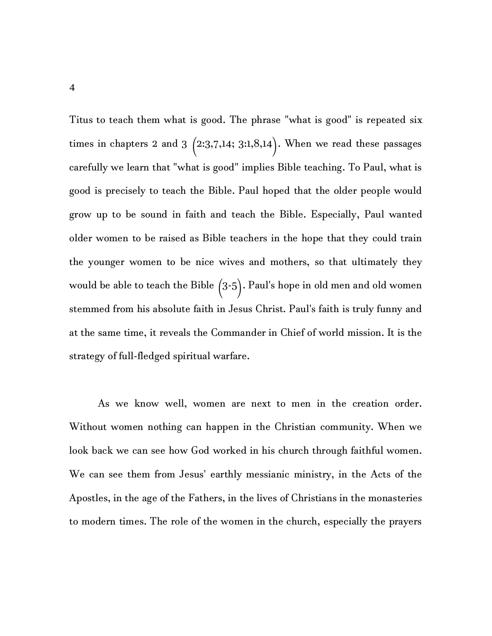Titus to teach them what is good. The phrase "what is good" is repeated six times in chapters 2 and 3  $(2:3,7,14; 3:1,8,14)$ . When we read these passages carefully we learn that "what is good" implies Bible teaching. To Paul, what is good is precisely to teach the Bible. Paul hoped that the older people would grow up to be sound in faith and teach the Bible. Especially, Paul wanted older women to be raised as Bible teachers in the hope that they could train the younger women to be nice wives and mothers, so that ultimately they would be able to teach the Bible  $(3-5)$ . Paul's hope in old men and old women stemmed from his absolute faith in Jesus Christ. Paul's faith is truly funny and at the same time, it reveals the Commander in Chief of world mission. It is the strategy of full-fledged spiritual warfare.

As we know well, women are next to men in the creation order. Without women nothing can happen in the Christian community. When we look back we can see how God worked in his church through faithful women. We can see them from Jesus' earthly messianic ministry, in the Acts of the Apostles, in the age of the Fathers, in the lives of Christians in the monasteries to modern times. The role of the women in the church, especially the prayers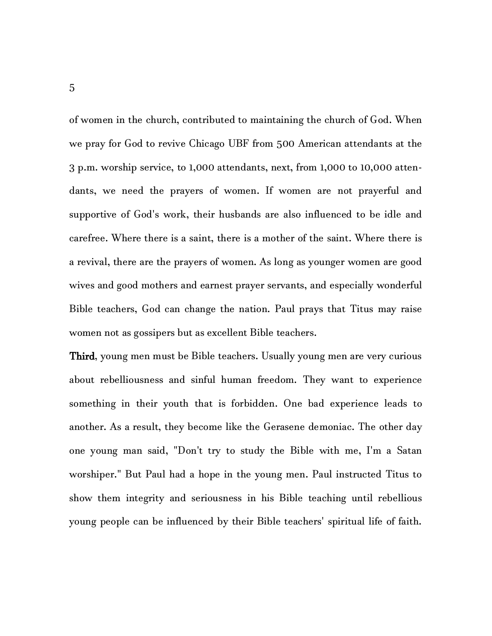of women in the church, contributed to maintaining the church of God. When we pray for God to revive Chicago UBF from 500 American attendants at the 3 p.m. worship service, to 1,000 attendants, next, from 1,000 to 10,000 attendants, we need the prayers of women. If women are not prayerful and supportive of God's work, their husbands are also influenced to be idle and carefree. Where there is a saint, there is a mother of the saint. Where there is a revival, there are the prayers of women. As long as younger women are good wives and good mothers and earnest prayer servants, and especially wonderful Bible teachers, God can change the nation. Paul prays that Titus may raise women not as gossipers but as excellent Bible teachers.

Third, young men must be Bible teachers. Usually young men are very curious about rebelliousness and sinful human freedom. They want to experience something in their youth that is forbidden. One bad experience leads to another. As a result, they become like the Gerasene demoniac. The other day one young man said, "Don't try to study the Bible with me, I'm a Satan worshiper." But Paul had a hope in the young men. Paul instructed Titus to show them integrity and seriousness in his Bible teaching until rebellious young people can be influenced by their Bible teachers' spiritual life of faith.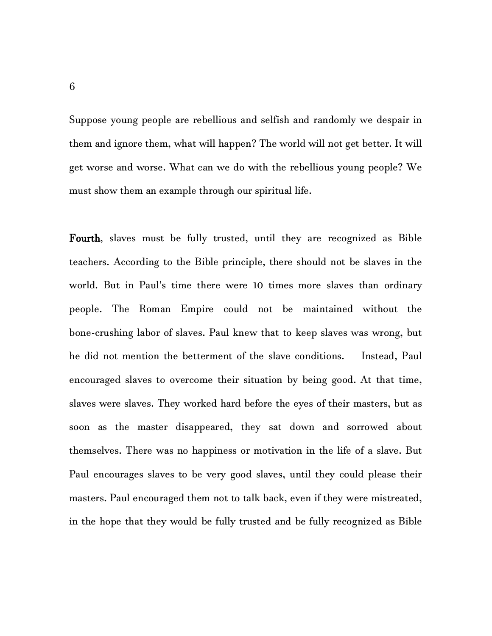Suppose young people are rebellious and selfish and randomly we despair in them and ignore them, what will happen? The world will not get better. It will get worse and worse. What can we do with the rebellious young people? We must show them an example through our spiritual life.

Fourth, slaves must be fully trusted, until they are recognized as Bible teachers. According to the Bible principle, there should not be slaves in the world. But in Paul's time there were 10 times more slaves than ordinary people. The Roman Empire could not be maintained without the bone-crushing labor of slaves. Paul knew that to keep slaves was wrong, but he did not mention the betterment of the slave conditions. Instead, Paul encouraged slaves to overcome their situation by being good. At that time, slaves were slaves. They worked hard before the eyes of their masters, but as soon as the master disappeared, they sat down and sorrowed about themselves. There was no happiness or motivation in the life of a slave. But Paul encourages slaves to be very good slaves, until they could please their masters. Paul encouraged them not to talk back, even if they were mistreated, in the hope that they would be fully trusted and be fully recognized as Bible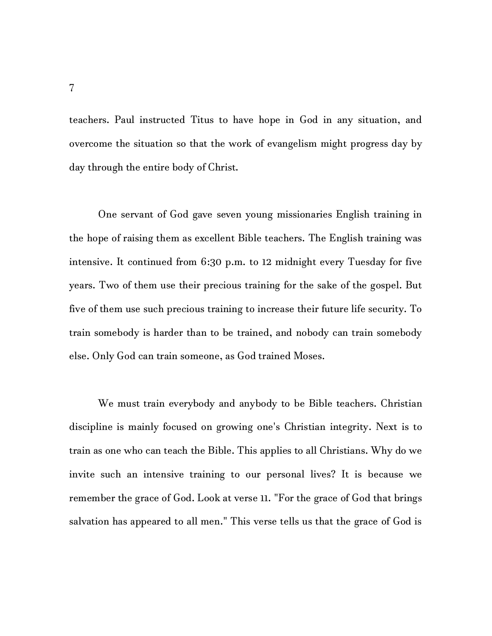teachers. Paul instructed Titus to have hope in God in any situation, and overcome the situation so that the work of evangelism might progress day by day through the entire body of Christ.

One servant of God gave seven young missionaries English training in the hope of raising them as excellent Bible teachers. The English training was intensive. It continued from 6:30 p.m. to 12 midnight every Tuesday for five years. Two of them use their precious training for the sake of the gospel. But five of them use such precious training to increase their future life security. To train somebody is harder than to be trained, and nobody can train somebody else. Only God can train someone, as God trained Moses.

We must train everybody and anybody to be Bible teachers. Christian discipline is mainly focused on growing one's Christian integrity. Next is to train as one who can teach the Bible. This applies to all Christians. Why do we invite such an intensive training to our personal lives? It is because we remember the grace of God. Look at verse 11. "For the grace of God that brings salvation has appeared to all men." This verse tells us that the grace of God is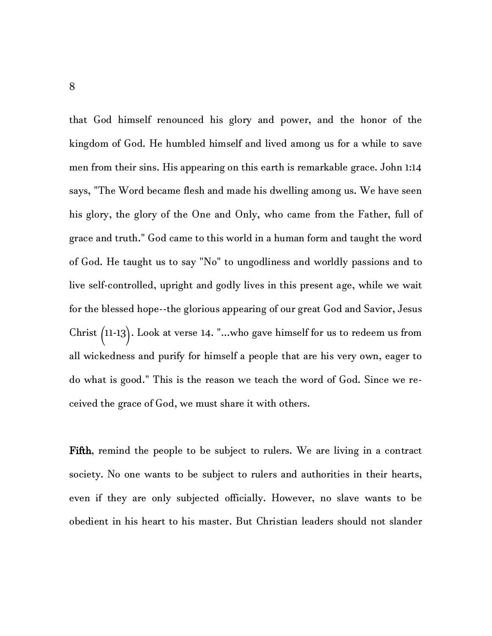that God himself renounced his glory and power, and the honor of the kingdom of God. He humbled himself and lived among us for a while to save men from their sins. His appearing on this earth is remarkable grace. John 1:14 says, "The Word became flesh and made his dwelling among us. We have seen his glory, the glory of the One and Only, who came from the Father, full of grace and truth." God came to this world in a human form and taught the word of God. He taught us to say "No" to ungodliness and worldly passions and to live self-controlled, upright and godly lives in this present age, while we wait for the blessed hope--the glorious appearing of our great God and Savior, Jesus Christ (11-13). Look at verse 14. "...who gave himself for us to redeem us from all wickedness and purify for himself a people that are his very own, eager to do what is good." This is the reason we teach the word of God. Since we received the grace of God, we must share it with others.

Fifth, remind the people to be subject to rulers. We are living in a contract society. No one wants to be subject to rulers and authorities in their hearts, even if they are only subjected officially. However, no slave wants to be obedient in his heart to his master. But Christian leaders should not slander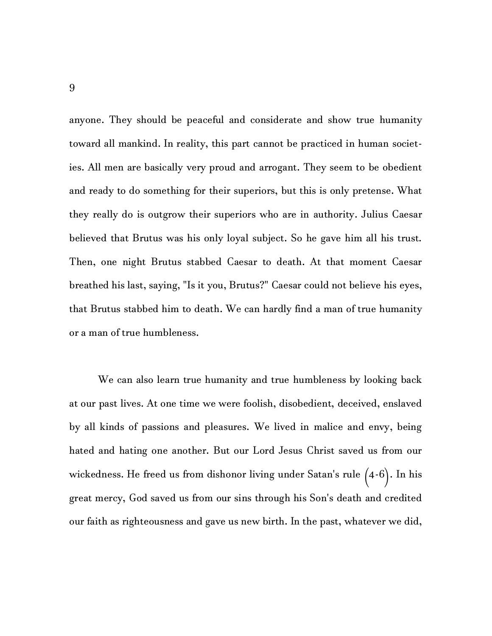anyone. They should be peaceful and considerate and show true humanity toward all mankind. In reality, this part cannot be practiced in human societies. All men are basically very proud and arrogant. They seem to be obedient and ready to do something for their superiors, but this is only pretense. What they really do is outgrow their superiors who are in authority. Julius Caesar believed that Brutus was his only loyal subject. So he gave him all his trust. Then, one night Brutus stabbed Caesar to death. At that moment Caesar breathed his last, saying, "Is it you, Brutus?" Caesar could not believe his eyes, that Brutus stabbed him to death. We can hardly find a man of true humanity or a man of true humbleness.

We can also learn true humanity and true humbleness by looking back at our past lives. At one time we were foolish, disobedient, deceived, enslaved by all kinds of passions and pleasures. We lived in malice and envy, being hated and hating one another. But our Lord Jesus Christ saved us from our wickedness. He freed us from dishonor living under Satan's rule (4-6). In his great mercy, God saved us from our sins through his Son's death and credited our faith as righteousness and gave us new birth. In the past, whatever we did,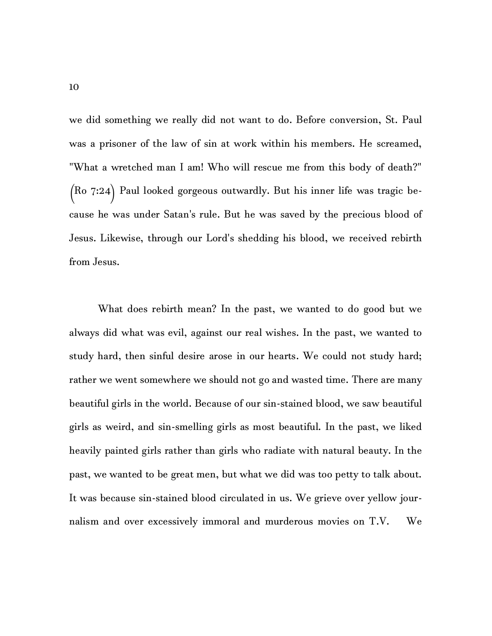we did something we really did not want to do. Before conversion, St. Paul was a prisoner of the law of sin at work within his members. He screamed, "What a wretched man I am! Who will rescue me from this body of death?" (Ro 7:24) Paul looked gorgeous outwardly. But his inner life was tragic because he was under Satan's rule. But he was saved by the precious blood of Jesus. Likewise, through our Lord's shedding his blood, we received rebirth from Jesus.

What does rebirth mean? In the past, we wanted to do good but we always did what was evil, against our real wishes. In the past, we wanted to study hard, then sinful desire arose in our hearts. We could not study hard; rather we went somewhere we should not go and wasted time. There are many beautiful girls in the world. Because of our sin-stained blood, we saw beautiful girls as weird, and sin-smelling girls as most beautiful. In the past, we liked heavily painted girls rather than girls who radiate with natural beauty. In the past, we wanted to be great men, but what we did was too petty to talk about. It was because sin-stained blood circulated in us. We grieve over yellow journalism and over excessively immoral and murderous movies on T.V. We